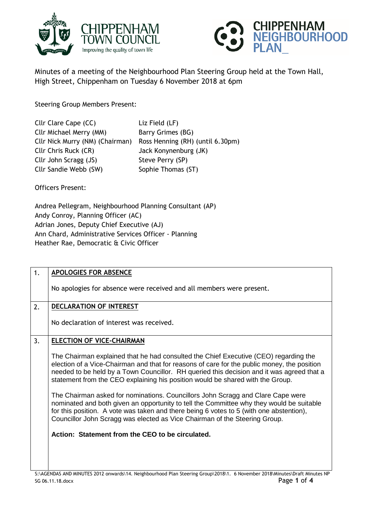



Minutes of a meeting of the Neighbourhood Plan Steering Group held at the Town Hall, High Street, Chippenham on Tuesday 6 November 2018 at 6pm

Steering Group Members Present:

| Cllr Clare Cape (CC)            | Liz Field (LF)                   |
|---------------------------------|----------------------------------|
| Cllr Michael Merry (MM)         | Barry Grimes (BG)                |
| Cllr Nick Murry (NM) (Chairman) | Ross Henning (RH) (until 6.30pm) |
| Cllr Chris Ruck (CR)            | Jack Konynenburg (JK)            |
| Cllr John Scragg (JS)           | Steve Perry (SP)                 |
| Cllr Sandie Webb (SW)           | Sophie Thomas (ST)               |

Officers Present:

Andrea Pellegram, Neighbourhood Planning Consultant (AP) Andy Conroy, Planning Officer (AC) Adrian Jones, Deputy Chief Executive (AJ) Ann Chard, Administrative Services Officer - Planning Heather Rae, Democratic & Civic Officer

| 1. | <b>APOLOGIES FOR ABSENCE</b>                                                                                                                                                                                                                                                                                                                                       |
|----|--------------------------------------------------------------------------------------------------------------------------------------------------------------------------------------------------------------------------------------------------------------------------------------------------------------------------------------------------------------------|
|    | No apologies for absence were received and all members were present.                                                                                                                                                                                                                                                                                               |
| 2. | <b>DECLARATION OF INTEREST</b>                                                                                                                                                                                                                                                                                                                                     |
|    | No declaration of interest was received.                                                                                                                                                                                                                                                                                                                           |
| 3. | <b>ELECTION OF VICE-CHAIRMAN</b>                                                                                                                                                                                                                                                                                                                                   |
|    | The Chairman explained that he had consulted the Chief Executive (CEO) regarding the<br>election of a Vice-Chairman and that for reasons of care for the public money, the position<br>needed to be held by a Town Councillor. RH queried this decision and it was agreed that a<br>statement from the CEO explaining his position would be shared with the Group. |
|    | The Chairman asked for nominations. Councillors John Scragg and Clare Cape were<br>nominated and both given an opportunity to tell the Committee why they would be suitable<br>for this position. A vote was taken and there being 6 votes to 5 (with one abstention),<br>Councillor John Scragg was elected as Vice Chairman of the Steering Group.               |
|    | Action: Statement from the CEO to be circulated.                                                                                                                                                                                                                                                                                                                   |
|    |                                                                                                                                                                                                                                                                                                                                                                    |
|    |                                                                                                                                                                                                                                                                                                                                                                    |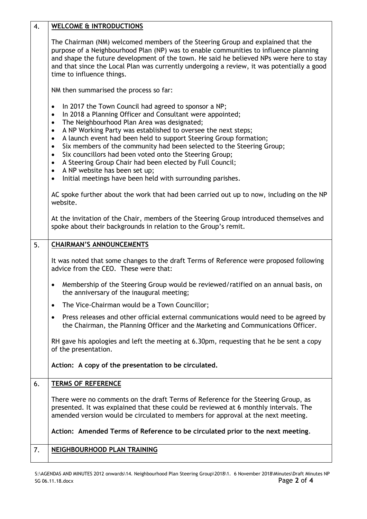| 4. | <b>WELCOME &amp; INTRODUCTIONS</b>                                                                                                                                                                                                                                                                                                                                                                                                                                                                                                                                                                                                                                                                                                      |
|----|-----------------------------------------------------------------------------------------------------------------------------------------------------------------------------------------------------------------------------------------------------------------------------------------------------------------------------------------------------------------------------------------------------------------------------------------------------------------------------------------------------------------------------------------------------------------------------------------------------------------------------------------------------------------------------------------------------------------------------------------|
|    | The Chairman (NM) welcomed members of the Steering Group and explained that the<br>purpose of a Neighbourhood Plan (NP) was to enable communities to influence planning<br>and shape the future development of the town. He said he believed NPs were here to stay<br>and that since the Local Plan was currently undergoing a review, it was potentially a good<br>time to influence things.                                                                                                                                                                                                                                                                                                                                           |
|    | NM then summarised the process so far:                                                                                                                                                                                                                                                                                                                                                                                                                                                                                                                                                                                                                                                                                                  |
|    | In 2017 the Town Council had agreed to sponsor a NP;<br>$\bullet$<br>In 2018 a Planning Officer and Consultant were appointed;<br>$\bullet$<br>The Neighbourhood Plan Area was designated;<br>$\bullet$<br>A NP Working Party was established to oversee the next steps;<br>$\bullet$<br>A launch event had been held to support Steering Group formation;<br>$\bullet$<br>Six members of the community had been selected to the Steering Group;<br>$\bullet$<br>Six councillors had been voted onto the Steering Group;<br>$\bullet$<br>A Steering Group Chair had been elected by Full Council;<br>$\bullet$<br>A NP website has been set up;<br>$\bullet$<br>Initial meetings have been held with surrounding parishes.<br>$\bullet$ |
|    | AC spoke further about the work that had been carried out up to now, including on the NP<br>website.                                                                                                                                                                                                                                                                                                                                                                                                                                                                                                                                                                                                                                    |
|    | At the invitation of the Chair, members of the Steering Group introduced themselves and<br>spoke about their backgrounds in relation to the Group's remit.                                                                                                                                                                                                                                                                                                                                                                                                                                                                                                                                                                              |
| 5. | <b>CHAIRMAN'S ANNOUNCEMENTS</b>                                                                                                                                                                                                                                                                                                                                                                                                                                                                                                                                                                                                                                                                                                         |
|    | It was noted that some changes to the draft Terms of Reference were proposed following<br>advice from the CEO. These were that:                                                                                                                                                                                                                                                                                                                                                                                                                                                                                                                                                                                                         |
|    | Membership of the Steering Group would be reviewed/ratified on an annual basis, on<br>the anniversary of the inaugural meeting;                                                                                                                                                                                                                                                                                                                                                                                                                                                                                                                                                                                                         |
|    | The Vice-Chairman would be a Town Councillor;<br>$\bullet$                                                                                                                                                                                                                                                                                                                                                                                                                                                                                                                                                                                                                                                                              |
|    | Press releases and other official external communications would need to be agreed by<br>the Chairman, the Planning Officer and the Marketing and Communications Officer.                                                                                                                                                                                                                                                                                                                                                                                                                                                                                                                                                                |
|    | RH gave his apologies and left the meeting at 6.30pm, requesting that he be sent a copy<br>of the presentation.                                                                                                                                                                                                                                                                                                                                                                                                                                                                                                                                                                                                                         |
|    | Action: A copy of the presentation to be circulated.                                                                                                                                                                                                                                                                                                                                                                                                                                                                                                                                                                                                                                                                                    |
| 6. | <b>TERMS OF REFERENCE</b>                                                                                                                                                                                                                                                                                                                                                                                                                                                                                                                                                                                                                                                                                                               |
|    | There were no comments on the draft Terms of Reference for the Steering Group, as<br>presented. It was explained that these could be reviewed at 6 monthly intervals. The<br>amended version would be circulated to members for approval at the next meeting.                                                                                                                                                                                                                                                                                                                                                                                                                                                                           |
|    | Action: Amended Terms of Reference to be circulated prior to the next meeting.                                                                                                                                                                                                                                                                                                                                                                                                                                                                                                                                                                                                                                                          |
| 7. | <b>NEIGHBOURHOOD PLAN TRAINING</b>                                                                                                                                                                                                                                                                                                                                                                                                                                                                                                                                                                                                                                                                                                      |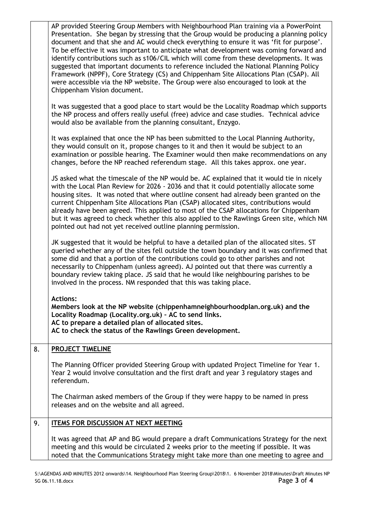|    | AP provided Steering Group Members with Neighbourhood Plan training via a PowerPoint<br>Presentation. She began by stressing that the Group would be producing a planning policy<br>document and that she and AC would check everything to ensure it was 'fit for purpose'.<br>To be effective it was important to anticipate what development was coming forward and<br>identify contributions such as s106/CIL which will come from these developments. It was<br>suggested that important documents to reference included the National Planning Policy<br>Framework (NPPF), Core Strategy (CS) and Chippenham Site Allocations Plan (CSAP). All<br>were accessible via the NP website. The Group were also encouraged to look at the<br>Chippenham Vision document. |
|----|------------------------------------------------------------------------------------------------------------------------------------------------------------------------------------------------------------------------------------------------------------------------------------------------------------------------------------------------------------------------------------------------------------------------------------------------------------------------------------------------------------------------------------------------------------------------------------------------------------------------------------------------------------------------------------------------------------------------------------------------------------------------|
|    | It was suggested that a good place to start would be the Locality Roadmap which supports<br>the NP process and offers really useful (free) advice and case studies. Technical advice<br>would also be available from the planning consultant, Enzygo.                                                                                                                                                                                                                                                                                                                                                                                                                                                                                                                  |
|    | It was explained that once the NP has been submitted to the Local Planning Authority,<br>they would consult on it, propose changes to it and then it would be subject to an<br>examination or possible hearing. The Examiner would then make recommendations on any<br>changes, before the NP reached referendum stage. All this takes approx. one year.                                                                                                                                                                                                                                                                                                                                                                                                               |
|    | JS asked what the timescale of the NP would be. AC explained that it would tie in nicely<br>with the Local Plan Review for 2026 - 2036 and that it could potentially allocate some<br>housing sites. It was noted that where outline consent had already been granted on the<br>current Chippenham Site Allocations Plan (CSAP) allocated sites, contributions would<br>already have been agreed. This applied to most of the CSAP allocations for Chippenham<br>but it was agreed to check whether this also applied to the Rawlings Green site, which NM<br>pointed out had not yet received outline planning permission.                                                                                                                                            |
|    | JK suggested that it would be helpful to have a detailed plan of the allocated sites. ST<br>queried whether any of the sites fell outside the town boundary and it was confirmed that<br>some did and that a portion of the contributions could go to other parishes and not<br>necessarily to Chippenham (unless agreed). AJ pointed out that there was currently a<br>boundary review taking place. JS said that he would like neighbouring parishes to be<br>involved in the process. NM responded that this was taking place.                                                                                                                                                                                                                                      |
|    | <b>Actions:</b><br>Members look at the NP website (chippenhamneighbourhoodplan.org.uk) and the<br>Locality Roadmap (Locality.org.uk) - AC to send links.<br>AC to prepare a detailed plan of allocated sites.<br>AC to check the status of the Rawlings Green development.                                                                                                                                                                                                                                                                                                                                                                                                                                                                                             |
| 8. | PROJECT TIMELINE                                                                                                                                                                                                                                                                                                                                                                                                                                                                                                                                                                                                                                                                                                                                                       |
|    | The Planning Officer provided Steering Group with updated Project Timeline for Year 1.<br>Year 2 would involve consultation and the first draft and year 3 regulatory stages and<br>referendum.                                                                                                                                                                                                                                                                                                                                                                                                                                                                                                                                                                        |
|    | The Chairman asked members of the Group if they were happy to be named in press<br>releases and on the website and all agreed.                                                                                                                                                                                                                                                                                                                                                                                                                                                                                                                                                                                                                                         |
| 9. | <b>ITEMS FOR DISCUSSION AT NEXT MEETING</b>                                                                                                                                                                                                                                                                                                                                                                                                                                                                                                                                                                                                                                                                                                                            |
|    | It was agreed that AP and BG would prepare a draft Communications Strategy for the next<br>meeting and this would be circulated 2 weeks prior to the meeting if possible. It was<br>noted that the Communications Strategy might take more than one meeting to agree and                                                                                                                                                                                                                                                                                                                                                                                                                                                                                               |